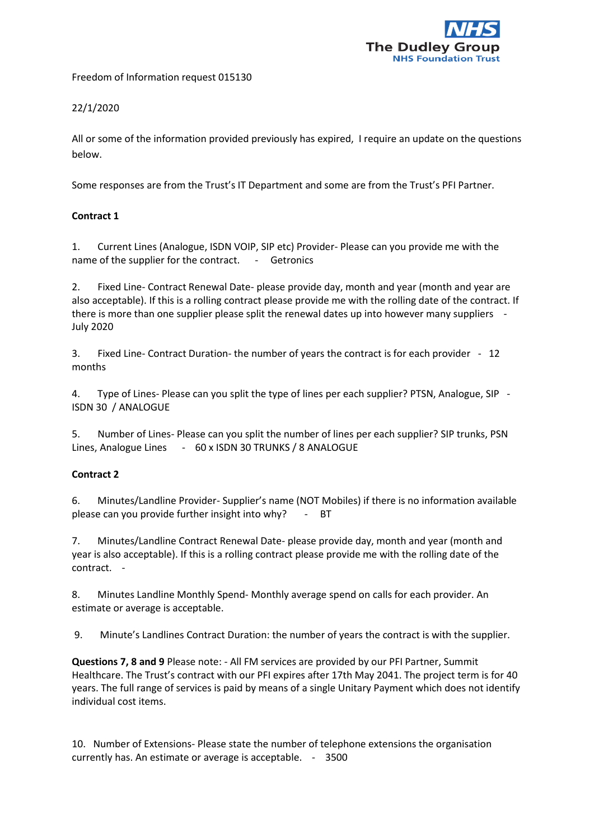

Freedom of Information request 015130

### 22/1/2020

All or some of the information provided previously has expired, I require an update on the questions below.

Some responses are from the Trust's IT Department and some are from the Trust's PFI Partner.

### **Contract 1**

1. Current Lines (Analogue, ISDN VOIP, SIP etc) Provider- Please can you provide me with the name of the supplier for the contract. - Getronics

2. Fixed Line- Contract Renewal Date- please provide day, month and year (month and year are also acceptable). If this is a rolling contract please provide me with the rolling date of the contract. If there is more than one supplier please split the renewal dates up into however many suppliers -July 2020

3. Fixed Line- Contract Duration- the number of years the contract is for each provider - 12 months

4. Type of Lines- Please can you split the type of lines per each supplier? PTSN, Analogue, SIP - ISDN 30 / ANALOGUE

5. Number of Lines- Please can you split the number of lines per each supplier? SIP trunks, PSN Lines, Analogue Lines - 60 x ISDN 30 TRUNKS / 8 ANALOGUE

#### **Contract 2**

6. Minutes/Landline Provider- Supplier's name (NOT Mobiles) if there is no information available please can you provide further insight into why? - BT

7. Minutes/Landline Contract Renewal Date- please provide day, month and year (month and year is also acceptable). If this is a rolling contract please provide me with the rolling date of the contract.

8. Minutes Landline Monthly Spend- Monthly average spend on calls for each provider. An estimate or average is acceptable.

9. Minute's Landlines Contract Duration: the number of years the contract is with the supplier.

**Questions 7, 8 and 9** Please note: - All FM services are provided by our PFI Partner, Summit Healthcare. The Trust's contract with our PFI expires after 17th May 2041. The project term is for 40 years. The full range of services is paid by means of a single Unitary Payment which does not identify individual cost items.

10. Number of Extensions- Please state the number of telephone extensions the organisation currently has. An estimate or average is acceptable. - 3500